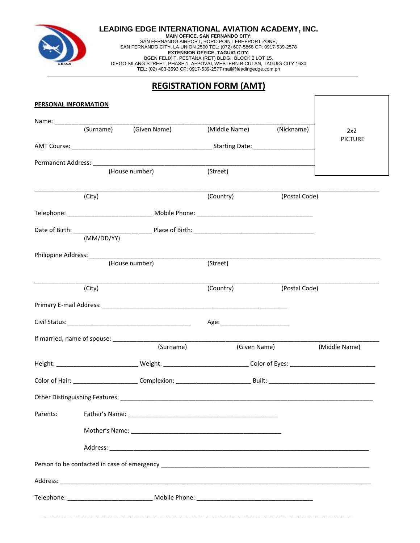

**LEADING EDGE INTERNATIONAL AVIATION ACADEMY, INC.**

**MAIN OFFICE, SAN FERNANDO CITY**: SAN FERNANDO AIRPORT, PORO POINT FREEPORT ZONE, SAN FERNANDO CITY, LA UNION 2500 TEL: (072) 607-5868 CP: 0917-539-2578 **EXTENSION OFFICE, TAGUIG CITY**: BGEN FELIX T. PESTANA (RET) BLDG., BLOCK 2 LOT 15, DIEGO SILANG STREET, PHASE 1, AFPOVAI, WESTERN BICUTAN, TAGUIG CITY 1630 TEL: (02) 403-3593 CP: 0917-539-2577 mail@leadingedge.com.ph

## **REGISTRATION FORM (AMT)**

Г

| <b>PERSONAL INFORMATION</b> |        |                        |                                |                                                                                                                                    |                       |
|-----------------------------|--------|------------------------|--------------------------------|------------------------------------------------------------------------------------------------------------------------------------|-----------------------|
|                             |        |                        |                                |                                                                                                                                    |                       |
|                             |        | (Surname) (Given Name) | (Middle Name) (Nickname)       |                                                                                                                                    | 2x2<br><b>PICTURE</b> |
|                             |        |                        |                                | AMT Course: <u>and the same of the same of the same of the starting Date:</u> contained the same of the same of the starting Date: |                       |
|                             |        |                        |                                |                                                                                                                                    |                       |
|                             |        | (House number)         | (Street)                       |                                                                                                                                    |                       |
|                             |        |                        |                                |                                                                                                                                    |                       |
|                             | (City) |                        | (Country)                      | (Postal Code)                                                                                                                      |                       |
|                             |        |                        |                                |                                                                                                                                    |                       |
|                             |        |                        |                                |                                                                                                                                    |                       |
|                             |        |                        |                                |                                                                                                                                    |                       |
|                             |        | (House number)         |                                |                                                                                                                                    |                       |
|                             |        |                        | (Street)                       |                                                                                                                                    |                       |
|                             | (City) |                        | (Country)                      | (Postal Code)                                                                                                                      |                       |
|                             |        |                        |                                |                                                                                                                                    |                       |
|                             |        |                        |                                |                                                                                                                                    |                       |
|                             |        |                        | Age: _________________________ |                                                                                                                                    |                       |
|                             |        |                        |                                |                                                                                                                                    |                       |
|                             |        | (Surname)              | (Given Name)                   |                                                                                                                                    | (Middle Name)         |
|                             |        |                        |                                |                                                                                                                                    |                       |
|                             |        |                        |                                |                                                                                                                                    |                       |
|                             |        |                        |                                |                                                                                                                                    |                       |
| Parents:                    |        |                        |                                |                                                                                                                                    |                       |
|                             |        |                        |                                |                                                                                                                                    |                       |
|                             |        |                        |                                |                                                                                                                                    |                       |
|                             |        |                        |                                |                                                                                                                                    |                       |
|                             |        |                        |                                |                                                                                                                                    |                       |
|                             |        |                        |                                |                                                                                                                                    |                       |
|                             |        |                        |                                |                                                                                                                                    |                       |